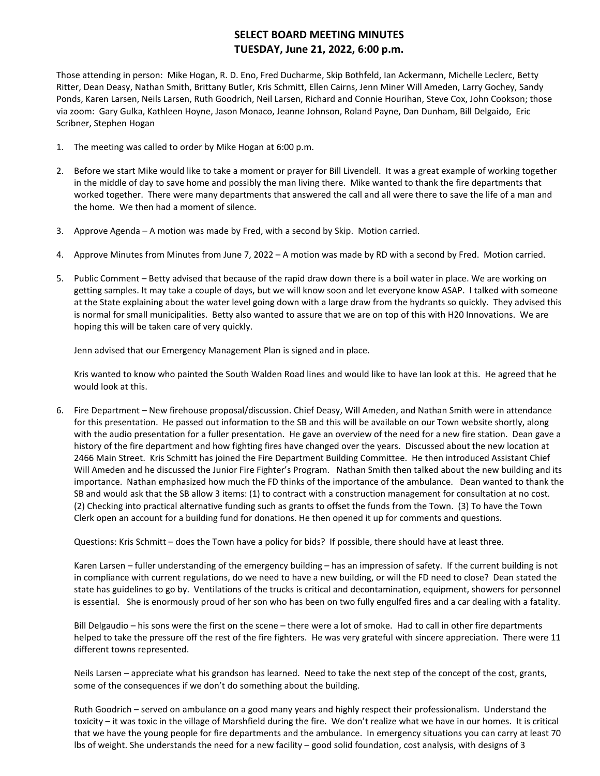## **SELECT BOARD MEETING MINUTES TUESDAY, June 21, 2022, 6:00 p.m.**

Those attending in person: Mike Hogan, R. D. Eno, Fred Ducharme, Skip Bothfeld, Ian Ackermann, Michelle Leclerc, Betty Ritter, Dean Deasy, Nathan Smith, Brittany Butler, Kris Schmitt, Ellen Cairns, Jenn Miner Will Ameden, Larry Gochey, Sandy Ponds, Karen Larsen, Neils Larsen, Ruth Goodrich, Neil Larsen, Richard and Connie Hourihan, Steve Cox, John Cookson; those via zoom: Gary Gulka, Kathleen Hoyne, Jason Monaco, Jeanne Johnson, Roland Payne, Dan Dunham, Bill Delgaido, Eric Scribner, Stephen Hogan

- 1. The meeting was called to order by Mike Hogan at 6:00 p.m.
- 2. Before we start Mike would like to take a moment or prayer for Bill Livendell. It was a great example of working together in the middle of day to save home and possibly the man living there. Mike wanted to thank the fire departments that worked together. There were many departments that answered the call and all were there to save the life of a man and the home. We then had a moment of silence.
- 3. Approve Agenda A motion was made by Fred, with a second by Skip. Motion carried.
- 4. Approve Minutes from Minutes from June 7, 2022 A motion was made by RD with a second by Fred. Motion carried.
- 5. Public Comment Betty advised that because of the rapid draw down there is a boil water in place. We are working on getting samples. It may take a couple of days, but we will know soon and let everyone know ASAP. I talked with someone at the State explaining about the water level going down with a large draw from the hydrants so quickly. They advised this is normal for small municipalities. Betty also wanted to assure that we are on top of this with H20 Innovations. We are hoping this will be taken care of very quickly.

Jenn advised that our Emergency Management Plan is signed and in place.

Kris wanted to know who painted the South Walden Road lines and would like to have Ian look at this. He agreed that he would look at this.

6. Fire Department – New firehouse proposal/discussion. Chief Deasy, Will Ameden, and Nathan Smith were in attendance for this presentation. He passed out information to the SB and this will be available on our Town website shortly, along with the audio presentation for a fuller presentation. He gave an overview of the need for a new fire station. Dean gave a history of the fire department and how fighting fires have changed over the years. Discussed about the new location at 2466 Main Street. Kris Schmitt has joined the Fire Department Building Committee. He then introduced Assistant Chief Will Ameden and he discussed the Junior Fire Fighter's Program. Nathan Smith then talked about the new building and its importance. Nathan emphasized how much the FD thinks of the importance of the ambulance. Dean wanted to thank the SB and would ask that the SB allow 3 items: (1) to contract with a construction management for consultation at no cost. (2) Checking into practical alternative funding such as grants to offset the funds from the Town. (3) To have the Town Clerk open an account for a building fund for donations. He then opened it up for comments and questions.

Questions: Kris Schmitt – does the Town have a policy for bids? If possible, there should have at least three.

Karen Larsen – fuller understanding of the emergency building – has an impression of safety. If the current building is not in compliance with current regulations, do we need to have a new building, or will the FD need to close? Dean stated the state has guidelines to go by. Ventilations of the trucks is critical and decontamination, equipment, showers for personnel is essential. She is enormously proud of her son who has been on two fully engulfed fires and a car dealing with a fatality.

Bill Delgaudio – his sons were the first on the scene – there were a lot of smoke. Had to call in other fire departments helped to take the pressure off the rest of the fire fighters. He was very grateful with sincere appreciation. There were 11 different towns represented.

Neils Larsen – appreciate what his grandson has learned. Need to take the next step of the concept of the cost, grants, some of the consequences if we don't do something about the building.

Ruth Goodrich – served on ambulance on a good many years and highly respect their professionalism. Understand the toxicity – it was toxic in the village of Marshfield during the fire. We don't realize what we have in our homes. It is critical that we have the young people for fire departments and the ambulance. In emergency situations you can carry at least 70 lbs of weight. She understands the need for a new facility – good solid foundation, cost analysis, with designs of 3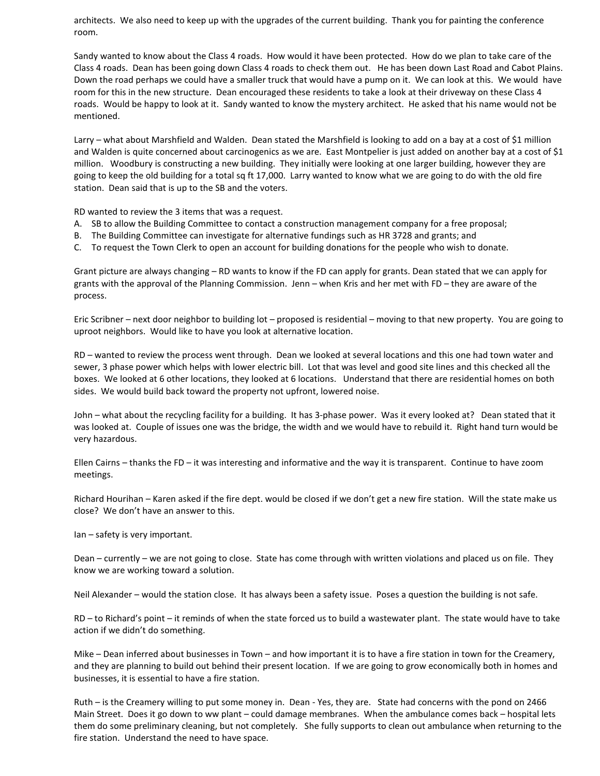architects. We also need to keep up with the upgrades of the current building. Thank you for painting the conference room.

Sandy wanted to know about the Class 4 roads. How would it have been protected. How do we plan to take care of the Class 4 roads. Dean has been going down Class 4 roads to check them out. He has been down Last Road and Cabot Plains. Down the road perhaps we could have a smaller truck that would have a pump on it. We can look at this. We would have room for this in the new structure. Dean encouraged these residents to take a look at their driveway on these Class 4 roads. Would be happy to look at it. Sandy wanted to know the mystery architect. He asked that his name would not be mentioned.

Larry – what about Marshfield and Walden. Dean stated the Marshfield is looking to add on a bay at a cost of \$1 million and Walden is quite concerned about carcinogenics as we are. East Montpelier is just added on another bay at a cost of \$1 million. Woodbury is constructing a new building. They initially were looking at one larger building, however they are going to keep the old building for a total sq ft 17,000. Larry wanted to know what we are going to do with the old fire station. Dean said that is up to the SB and the voters.

RD wanted to review the 3 items that was a request.

- A. SB to allow the Building Committee to contact a construction management company for a free proposal;
- B. The Building Committee can investigate for alternative fundings such as HR 3728 and grants; and
- C. To request the Town Clerk to open an account for building donations for the people who wish to donate.

Grant picture are always changing – RD wants to know if the FD can apply for grants. Dean stated that we can apply for grants with the approval of the Planning Commission. Jenn – when Kris and her met with FD – they are aware of the process.

Eric Scribner – next door neighbor to building lot – proposed is residential – moving to that new property. You are going to uproot neighbors. Would like to have you look at alternative location.

RD – wanted to review the process went through. Dean we looked at several locations and this one had town water and sewer, 3 phase power which helps with lower electric bill. Lot that was level and good site lines and this checked all the boxes. We looked at 6 other locations, they looked at 6 locations. Understand that there are residential homes on both sides. We would build back toward the property not upfront, lowered noise.

John – what about the recycling facility for a building. It has 3-phase power. Was it every looked at? Dean stated that it was looked at. Couple of issues one was the bridge, the width and we would have to rebuild it. Right hand turn would be very hazardous.

Ellen Cairns – thanks the FD – it was interesting and informative and the way it is transparent. Continue to have zoom meetings.

Richard Hourihan – Karen asked if the fire dept. would be closed if we don't get a new fire station. Will the state make us close? We don't have an answer to this.

Ian – safety is very important.

Dean – currently – we are not going to close. State has come through with written violations and placed us on file. They know we are working toward a solution.

Neil Alexander – would the station close. It has always been a safety issue. Poses a question the building is not safe.

RD – to Richard's point – it reminds of when the state forced us to build a wastewater plant. The state would have to take action if we didn't do something.

Mike – Dean inferred about businesses in Town – and how important it is to have a fire station in town for the Creamery, and they are planning to build out behind their present location. If we are going to grow economically both in homes and businesses, it is essential to have a fire station.

Ruth – is the Creamery willing to put some money in. Dean - Yes, they are. State had concerns with the pond on 2466 Main Street. Does it go down to ww plant – could damage membranes. When the ambulance comes back – hospital lets them do some preliminary cleaning, but not completely. She fully supports to clean out ambulance when returning to the fire station. Understand the need to have space.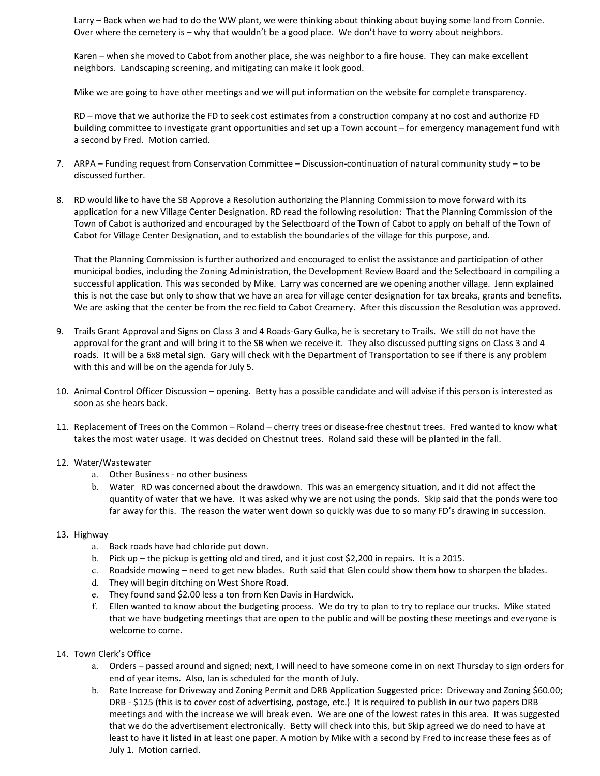Larry – Back when we had to do the WW plant, we were thinking about thinking about buying some land from Connie. Over where the cemetery is – why that wouldn't be a good place. We don't have to worry about neighbors.

Karen – when she moved to Cabot from another place, she was neighbor to a fire house. They can make excellent neighbors. Landscaping screening, and mitigating can make it look good.

Mike we are going to have other meetings and we will put information on the website for complete transparency.

RD – move that we authorize the FD to seek cost estimates from a construction company at no cost and authorize FD building committee to investigate grant opportunities and set up a Town account – for emergency management fund with a second by Fred. Motion carried.

- 7. ARPA Funding request from Conservation Committee Discussion-continuation of natural community study to be discussed further.
- 8. RD would like to have the SB Approve a Resolution authorizing the Planning Commission to move forward with its application for a new Village Center Designation. RD read the following resolution: That the Planning Commission of the Town of Cabot is authorized and encouraged by the Selectboard of the Town of Cabot to apply on behalf of the Town of Cabot for Village Center Designation, and to establish the boundaries of the village for this purpose, and.

That the Planning Commission is further authorized and encouraged to enlist the assistance and participation of other municipal bodies, including the Zoning Administration, the Development Review Board and the Selectboard in compiling a successful application. This was seconded by Mike. Larry was concerned are we opening another village. Jenn explained this is not the case but only to show that we have an area for village center designation for tax breaks, grants and benefits. We are asking that the center be from the rec field to Cabot Creamery. After this discussion the Resolution was approved.

- 9. Trails Grant Approval and Signs on Class 3 and 4 Roads-Gary Gulka, he is secretary to Trails. We still do not have the approval for the grant and will bring it to the SB when we receive it. They also discussed putting signs on Class 3 and 4 roads. It will be a 6x8 metal sign. Gary will check with the Department of Transportation to see if there is any problem with this and will be on the agenda for July 5.
- 10. Animal Control Officer Discussion opening. Betty has a possible candidate and will advise if this person is interested as soon as she hears back.
- 11. Replacement of Trees on the Common Roland cherry trees or disease-free chestnut trees. Fred wanted to know what takes the most water usage. It was decided on Chestnut trees. Roland said these will be planted in the fall.

## 12. Water/Wastewater

- a. Other Business no other business
- b. Water RD was concerned about the drawdown. This was an emergency situation, and it did not affect the quantity of water that we have. It was asked why we are not using the ponds. Skip said that the ponds were too far away for this. The reason the water went down so quickly was due to so many FD's drawing in succession.

## 13. Highway

- a. Back roads have had chloride put down.
- b. Pick up the pickup is getting old and tired, and it just cost \$2,200 in repairs. It is a 2015.
- c. Roadside mowing need to get new blades. Ruth said that Glen could show them how to sharpen the blades.
- d. They will begin ditching on West Shore Road.
- e. They found sand \$2.00 less a ton from Ken Davis in Hardwick.
- f. Ellen wanted to know about the budgeting process. We do try to plan to try to replace our trucks. Mike stated that we have budgeting meetings that are open to the public and will be posting these meetings and everyone is welcome to come.
- 14. Town Clerk's Office
	- a. Orders passed around and signed; next, I will need to have someone come in on next Thursday to sign orders for end of year items. Also, Ian is scheduled for the month of July.
	- b. Rate Increase for Driveway and Zoning Permit and DRB Application Suggested price: Driveway and Zoning \$60.00; DRB - \$125 (this is to cover cost of advertising, postage, etc.) It is required to publish in our two papers DRB meetings and with the increase we will break even. We are one of the lowest rates in this area. It was suggested that we do the advertisement electronically. Betty will check into this, but Skip agreed we do need to have at least to have it listed in at least one paper. A motion by Mike with a second by Fred to increase these fees as of July 1. Motion carried.